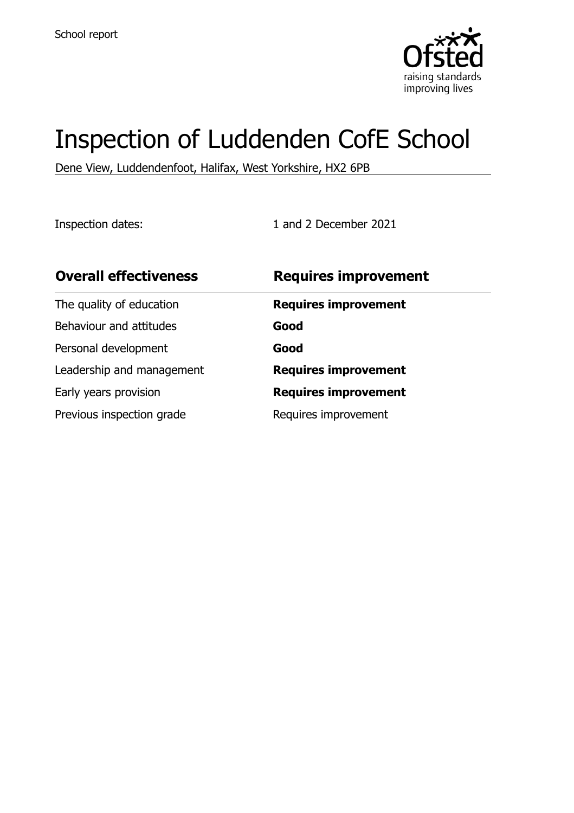

# Inspection of Luddenden CofE School

Dene View, Luddendenfoot, Halifax, West Yorkshire, HX2 6PB

Inspection dates: 1 and 2 December 2021

| <b>Overall effectiveness</b> | <b>Requires improvement</b> |
|------------------------------|-----------------------------|
| The quality of education     | <b>Requires improvement</b> |
| Behaviour and attitudes      | Good                        |
| Personal development         | Good                        |
| Leadership and management    | <b>Requires improvement</b> |
| Early years provision        | <b>Requires improvement</b> |
| Previous inspection grade    | Requires improvement        |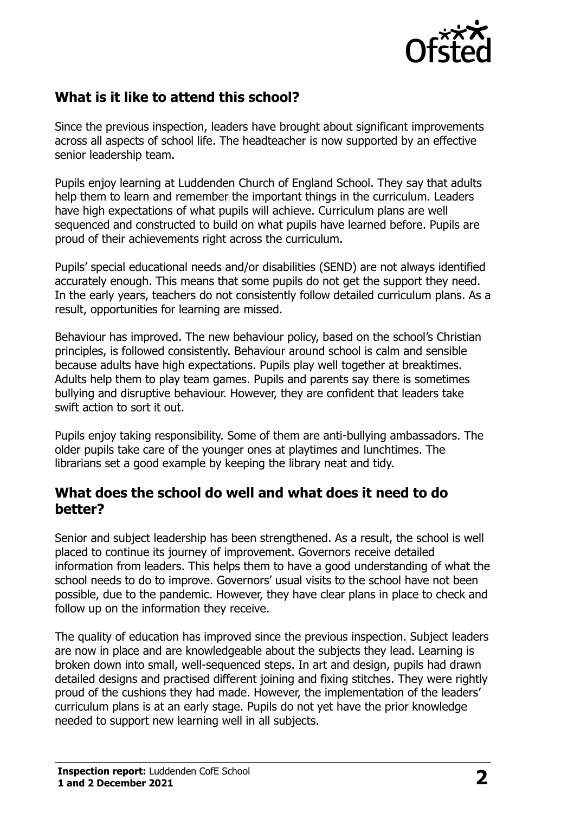

# **What is it like to attend this school?**

Since the previous inspection, leaders have brought about significant improvements across all aspects of school life. The headteacher is now supported by an effective senior leadership team.

Pupils enjoy learning at Luddenden Church of England School. They say that adults help them to learn and remember the important things in the curriculum. Leaders have high expectations of what pupils will achieve. Curriculum plans are well sequenced and constructed to build on what pupils have learned before. Pupils are proud of their achievements right across the curriculum.

Pupils' special educational needs and/or disabilities (SEND) are not always identified accurately enough. This means that some pupils do not get the support they need. In the early years, teachers do not consistently follow detailed curriculum plans. As a result, opportunities for learning are missed.

Behaviour has improved. The new behaviour policy, based on the school's Christian principles, is followed consistently. Behaviour around school is calm and sensible because adults have high expectations. Pupils play well together at breaktimes. Adults help them to play team games. Pupils and parents say there is sometimes bullying and disruptive behaviour. However, they are confident that leaders take swift action to sort it out.

Pupils enjoy taking responsibility. Some of them are anti-bullying ambassadors. The older pupils take care of the younger ones at playtimes and lunchtimes. The librarians set a good example by keeping the library neat and tidy.

#### **What does the school do well and what does it need to do better?**

Senior and subject leadership has been strengthened. As a result, the school is well placed to continue its journey of improvement. Governors receive detailed information from leaders. This helps them to have a good understanding of what the school needs to do to improve. Governors' usual visits to the school have not been possible, due to the pandemic. However, they have clear plans in place to check and follow up on the information they receive.

The quality of education has improved since the previous inspection. Subject leaders are now in place and are knowledgeable about the subjects they lead. Learning is broken down into small, well-sequenced steps. In art and design, pupils had drawn detailed designs and practised different joining and fixing stitches. They were rightly proud of the cushions they had made. However, the implementation of the leaders' curriculum plans is at an early stage. Pupils do not yet have the prior knowledge needed to support new learning well in all subjects.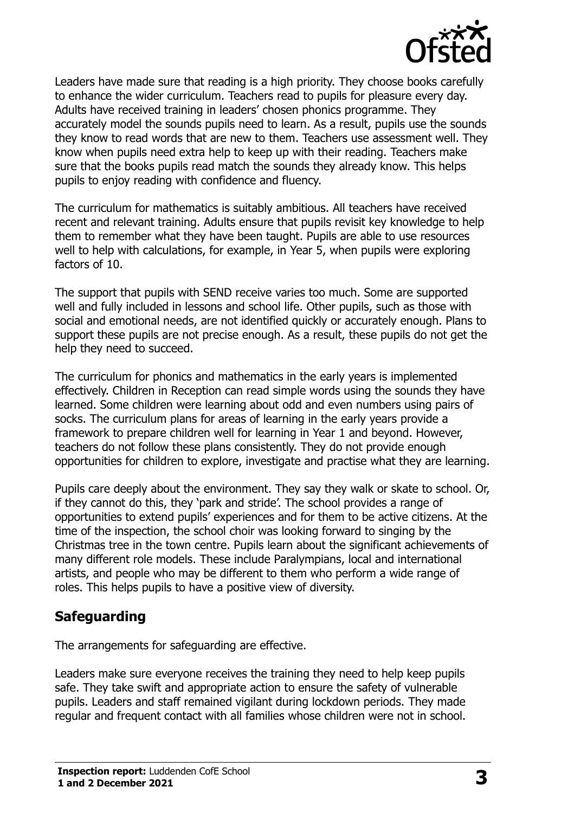

Leaders have made sure that reading is a high priority. They choose books carefully to enhance the wider curriculum. Teachers read to pupils for pleasure every day. Adults have received training in leaders' chosen phonics programme. They accurately model the sounds pupils need to learn. As a result, pupils use the sounds they know to read words that are new to them. Teachers use assessment well. They know when pupils need extra help to keep up with their reading. Teachers make sure that the books pupils read match the sounds they already know. This helps pupils to enjoy reading with confidence and fluency.

The curriculum for mathematics is suitably ambitious. All teachers have received recent and relevant training. Adults ensure that pupils revisit key knowledge to help them to remember what they have been taught. Pupils are able to use resources well to help with calculations, for example, in Year 5, when pupils were exploring factors of 10.

The support that pupils with SEND receive varies too much. Some are supported well and fully included in lessons and school life. Other pupils, such as those with social and emotional needs, are not identified quickly or accurately enough. Plans to support these pupils are not precise enough. As a result, these pupils do not get the help they need to succeed.

The curriculum for phonics and mathematics in the early years is implemented effectively. Children in Reception can read simple words using the sounds they have learned. Some children were learning about odd and even numbers using pairs of socks. The curriculum plans for areas of learning in the early years provide a framework to prepare children well for learning in Year 1 and beyond. However, teachers do not follow these plans consistently. They do not provide enough opportunities for children to explore, investigate and practise what they are learning.

Pupils care deeply about the environment. They say they walk or skate to school. Or, if they cannot do this, they 'park and stride'. The school provides a range of opportunities to extend pupils' experiences and for them to be active citizens. At the time of the inspection, the school choir was looking forward to singing by the Christmas tree in the town centre. Pupils learn about the significant achievements of many different role models. These include Paralympians, local and international artists, and people who may be different to them who perform a wide range of roles. This helps pupils to have a positive view of diversity.

## **Safeguarding**

The arrangements for safeguarding are effective.

Leaders make sure everyone receives the training they need to help keep pupils safe. They take swift and appropriate action to ensure the safety of vulnerable pupils. Leaders and staff remained vigilant during lockdown periods. They made regular and frequent contact with all families whose children were not in school.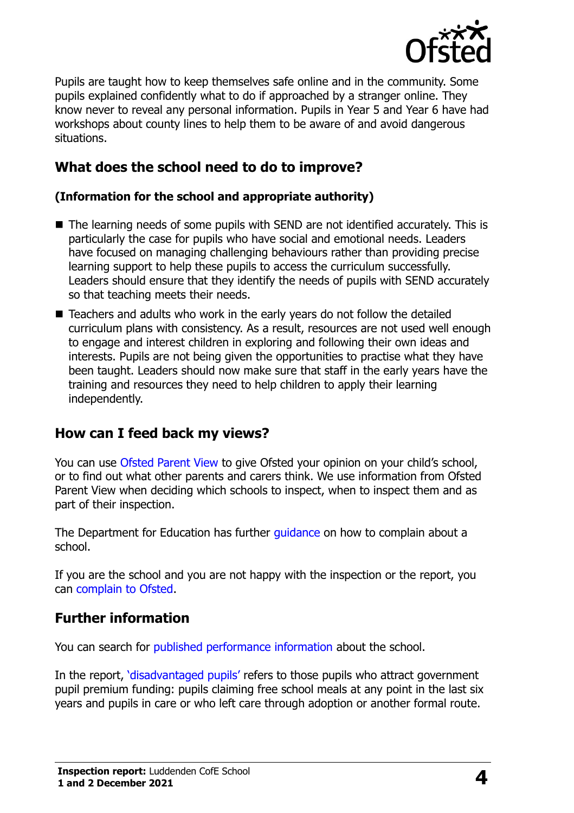

Pupils are taught how to keep themselves safe online and in the community. Some pupils explained confidently what to do if approached by a stranger online. They know never to reveal any personal information. Pupils in Year 5 and Year 6 have had workshops about county lines to help them to be aware of and avoid dangerous situations.

# **What does the school need to do to improve?**

#### **(Information for the school and appropriate authority)**

- The learning needs of some pupils with SEND are not identified accurately. This is particularly the case for pupils who have social and emotional needs. Leaders have focused on managing challenging behaviours rather than providing precise learning support to help these pupils to access the curriculum successfully. Leaders should ensure that they identify the needs of pupils with SEND accurately so that teaching meets their needs.
- Teachers and adults who work in the early years do not follow the detailed curriculum plans with consistency. As a result, resources are not used well enough to engage and interest children in exploring and following their own ideas and interests. Pupils are not being given the opportunities to practise what they have been taught. Leaders should now make sure that staff in the early years have the training and resources they need to help children to apply their learning independently.

## **How can I feed back my views?**

You can use [Ofsted Parent View](http://parentview.ofsted.gov.uk/) to give Ofsted your opinion on your child's school, or to find out what other parents and carers think. We use information from Ofsted Parent View when deciding which schools to inspect, when to inspect them and as part of their inspection.

The Department for Education has further quidance on how to complain about a school.

If you are the school and you are not happy with the inspection or the report, you can [complain to Ofsted.](http://www.gov.uk/complain-ofsted-report)

## **Further information**

You can search for [published performance information](http://www.compare-school-performance.service.gov.uk/) about the school.

In the report, '[disadvantaged pupils](http://www.gov.uk/guidance/pupil-premium-information-for-schools-and-alternative-provision-settings)' refers to those pupils who attract government pupil premium funding: pupils claiming free school meals at any point in the last six years and pupils in care or who left care through adoption or another formal route.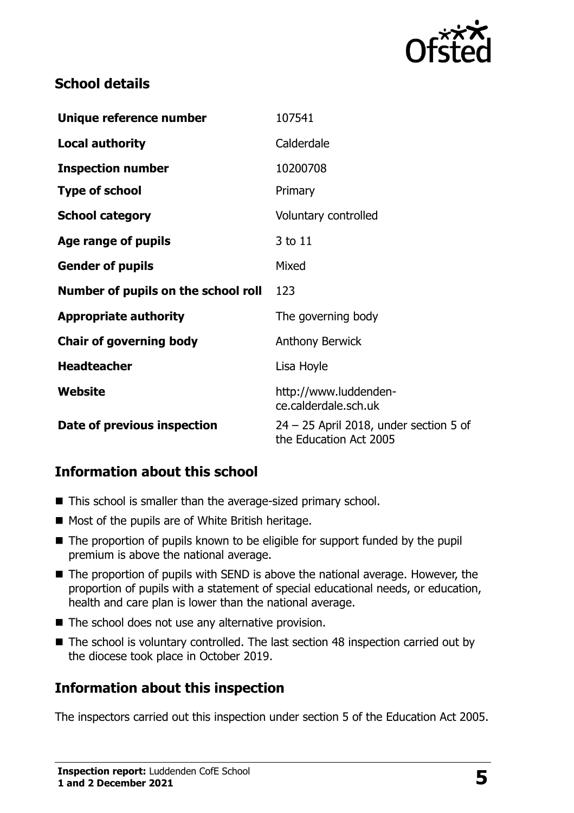

# **School details**

| Unique reference number             | 107541                                                             |
|-------------------------------------|--------------------------------------------------------------------|
| <b>Local authority</b>              | Calderdale                                                         |
| <b>Inspection number</b>            | 10200708                                                           |
| <b>Type of school</b>               | Primary                                                            |
| <b>School category</b>              | Voluntary controlled                                               |
| Age range of pupils                 | 3 to 11                                                            |
| <b>Gender of pupils</b>             | Mixed                                                              |
| Number of pupils on the school roll | 123                                                                |
| <b>Appropriate authority</b>        | The governing body                                                 |
| <b>Chair of governing body</b>      | <b>Anthony Berwick</b>                                             |
| <b>Headteacher</b>                  | Lisa Hoyle                                                         |
| Website                             | http://www.luddenden-<br>ce.calderdale.sch.uk                      |
| Date of previous inspection         | $24 - 25$ April 2018, under section 5 of<br>the Education Act 2005 |

# **Information about this school**

- This school is smaller than the average-sized primary school.
- $\blacksquare$  Most of the pupils are of White British heritage.
- The proportion of pupils known to be eligible for support funded by the pupil premium is above the national average.
- The proportion of pupils with SEND is above the national average. However, the proportion of pupils with a statement of special educational needs, or education, health and care plan is lower than the national average.
- $\blacksquare$  The school does not use any alternative provision.
- The school is voluntary controlled. The last section 48 inspection carried out by the diocese took place in October 2019.

# **Information about this inspection**

The inspectors carried out this inspection under section 5 of the Education Act 2005.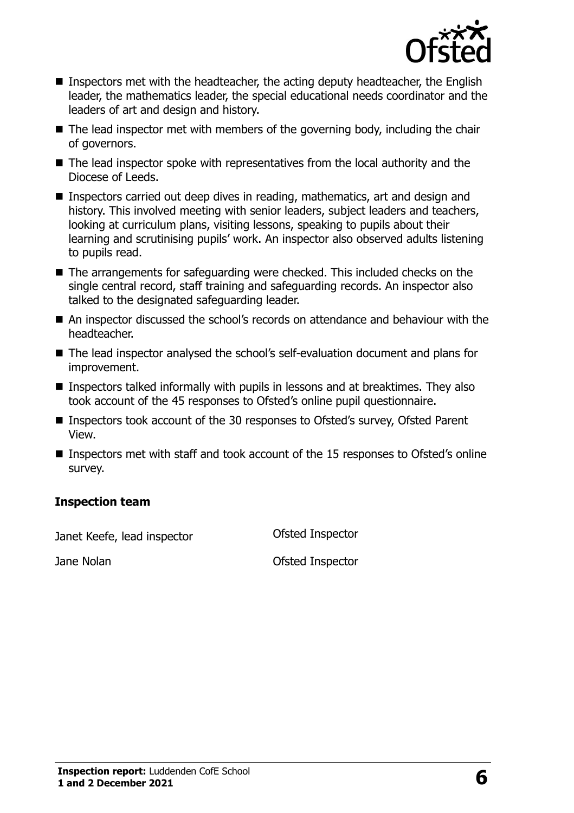

- Inspectors met with the headteacher, the acting deputy headteacher, the English leader, the mathematics leader, the special educational needs coordinator and the leaders of art and design and history.
- The lead inspector met with members of the governing body, including the chair of governors.
- The lead inspector spoke with representatives from the local authority and the Diocese of Leeds.
- Inspectors carried out deep dives in reading, mathematics, art and design and history. This involved meeting with senior leaders, subject leaders and teachers, looking at curriculum plans, visiting lessons, speaking to pupils about their learning and scrutinising pupils' work. An inspector also observed adults listening to pupils read.
- The arrangements for safeguarding were checked. This included checks on the single central record, staff training and safeguarding records. An inspector also talked to the designated safeguarding leader.
- An inspector discussed the school's records on attendance and behaviour with the headteacher.
- The lead inspector analysed the school's self-evaluation document and plans for improvement.
- **Inspectors talked informally with pupils in lessons and at breaktimes. They also** took account of the 45 responses to Ofsted's online pupil questionnaire.
- Inspectors took account of the 30 responses to Ofsted's survey, Ofsted Parent View.
- Inspectors met with staff and took account of the 15 responses to Ofsted's online survey.

#### **Inspection team**

Janet Keefe, lead inspector Ofsted Inspector

Jane Nolan **Disk and Separate Inspector** Controllering Ofsted Inspector